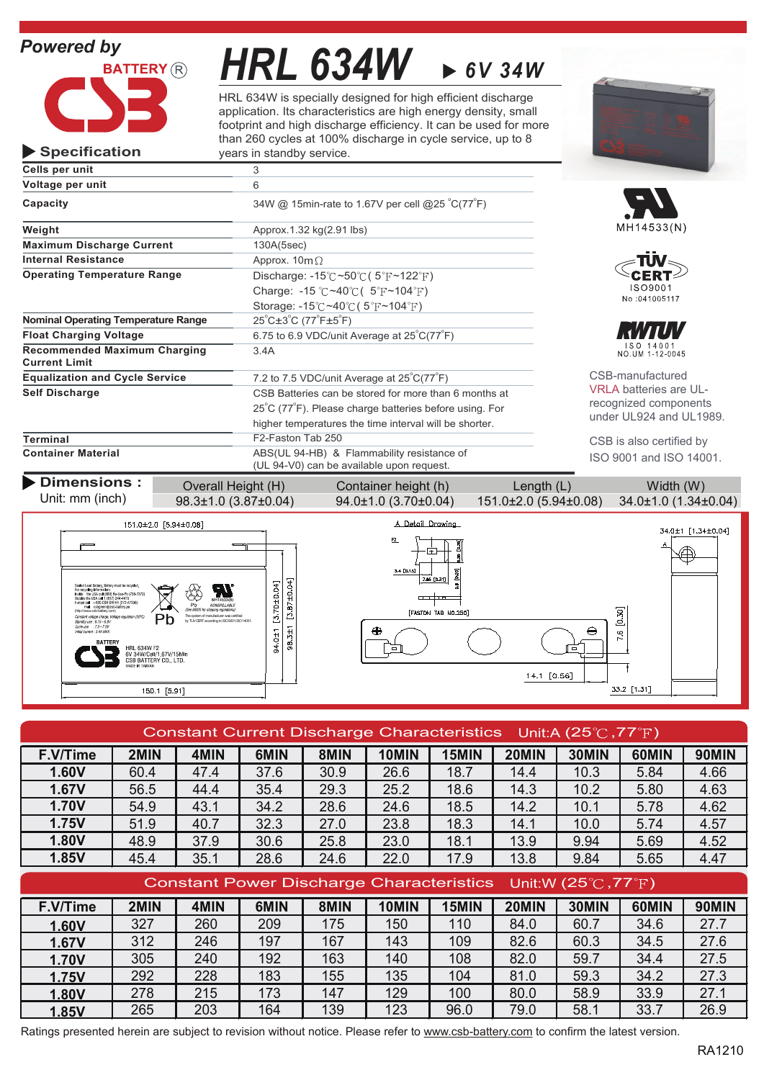# *Powered by*

**Specification**



*HRL 634W 6V 34W*

HRL 634W is specially designed for high efficient discharge application. Its characteristics are high energy density, small footprint and high discharge efficiency. It can be used for more than 260 cycles at 100% discharge in cycle service, up to 8 years in standby service.



| Cells per unit                                                                              | 3                                                                            |                               |
|---------------------------------------------------------------------------------------------|------------------------------------------------------------------------------|-------------------------------|
| Voltage per unit                                                                            | 6                                                                            |                               |
| Capacity                                                                                    | 34W @ 15min-rate to 1.67V per cell @25 °C(77°F)                              |                               |
| Weight                                                                                      | Approx.1.32 kg(2.91 lbs)                                                     | MH14533(N)                    |
| <b>Maximum Discharge Current</b>                                                            | 130A(5sec)                                                                   |                               |
| <b>Internal Resistance</b>                                                                  | Approx. $10m\Omega$                                                          |                               |
| <b>Operating Temperature Range</b>                                                          | Discharge: $-15^{\circ}$ C ~50 $\circ$ C (5 $\circ$ F ~122 $\circ$ F)        |                               |
|                                                                                             | Charge: -15 °C ~40 °C ( $5$ °F ~104 °F)                                      | ISO9001                       |
|                                                                                             | Storage: $-15^{\circ}$ C ~40 $^{\circ}$ C (5 $^{\circ}$ F ~104 $^{\circ}$ F) | No:041005117                  |
| <b>Nominal Operating Temperature Range</b>                                                  | $25^{\circ}$ C $\pm 3^{\circ}$ C (77 $^{\circ}$ F $\pm 5^{\circ}$ F)         |                               |
| 6.75 to 6.9 VDC/unit Average at $25^{\circ}C(77^{\circ}F)$<br><b>Float Charging Voltage</b> |                                                                              |                               |
| <b>Recommended Maximum Charging</b><br><b>Current Limit</b>                                 | 3.4A                                                                         | ISO 14001<br>NO.UM 1-12-0045  |
| <b>Equalization and Cycle Service</b>                                                       | 7.2 to 7.5 VDC/unit Average at 25°C(77°F)                                    | CSB-manufactured              |
| <b>Self Discharge</b>                                                                       | CSB Batteries can be stored for more than 6 months at                        | <b>VRLA batteries are UL-</b> |
|                                                                                             | 25°C (77°F). Please charge batteries before using. For                       | recognized components         |
|                                                                                             | higher temperatures the time interval will be shorter.                       | under UL924 and UL1989.       |
| Terminal                                                                                    | F2-Faston Tab 250                                                            | CSB is also certified by      |
| <b>Container Material</b>                                                                   | ISO 9001 and ISO 14001.                                                      |                               |

**Dimensions:** Overall Height (H) Container height (h) Length (L) Width (W)

Unit: mm (inch)





| Constant Current Discharge Characteristics Unit:A (25 $\degree$ C, 77 $\degree$ F) |      |      |      |      |       |       |       |       |       |       |
|------------------------------------------------------------------------------------|------|------|------|------|-------|-------|-------|-------|-------|-------|
| F.V/Time                                                                           | 2MIN | 4MIN | 6MIN | 8MIN | 10MIN | 15MIN | 20MIN | 30MIN | 60MIN | 90MIN |
| 1.60V                                                                              | 60.4 | 47.4 | 37.6 | 30.9 | 26.6  | 18.7  | 14.4  | 10.3  | 5.84  | 4.66  |
| 1.67V                                                                              | 56.5 | 44.4 | 35.4 | 29.3 | 25.2  | 18.6  | 14.3  | 10.2  | 5.80  | 4.63  |
| <b>1.70V</b>                                                                       | 54.9 | 43.1 | 34.2 | 28.6 | 24.6  | 18.5  | 14.2  | 10.1  | 5.78  | 4.62  |
| 1.75V                                                                              | 51.9 | 40.7 | 32.3 | 27.0 | 23.8  | 18.3  | 14.1  | 10.0  | 5.74  | 4.57  |
| 1.80V                                                                              | 48.9 | 37.9 | 30.6 | 25.8 | 23.0  | 18.1  | 13.9  | 9.94  | 5.69  | 4.52  |
| 1.85V                                                                              | 45.4 | 35.1 | 28.6 | 24.6 | 22.0  | 17.9  | 13.8  | 9.84  | 5.65  | 4.47  |
| Constant Power Discharge Characteristics Unit:W (25 $\degree$ C, 77 $\degree$ F)   |      |      |      |      |       |       |       |       |       |       |
| F.V/Time                                                                           | 2MIN | 4MIN | 6MIN | 8MIN | 10MIN | 15MIN | 20MIN | 30MIN | 60MIN | 90MIN |
| 1.60V                                                                              | 327  | 260  | 209  | 175  | 150   | 110   | 84.0  | 60.7  | 34.6  | 27.7  |
| 1.67V                                                                              | 312  | 246  | 197  | 167  | 143   | 109   | 82.6  | 60.3  | 34.5  | 27.6  |
| <b>1.70V</b>                                                                       | 305  | 240  | 192  | 163  | 140   | 108   | 82.0  | 59.7  | 34.4  | 27.5  |
| 1.75V                                                                              | 292  | 228  | 183  | 155  | 135   | 104   | 81.0  | 59.3  | 34.2  | 27.3  |
| 1.80V                                                                              | 278  | 215  | 173  | 147  | 129   | 100   | 80.0  | 58.9  | 33.9  | 27.1  |

<mark>1.85V | 265 | 203 | 164 | 139 | 123 | 96.0 | 79.0 | 58.1 | 33.7 | 26.9</mark>

Ratings presented herein are subject to revision without notice. Please refer to www.csb-battery.com to confirm the latest version.